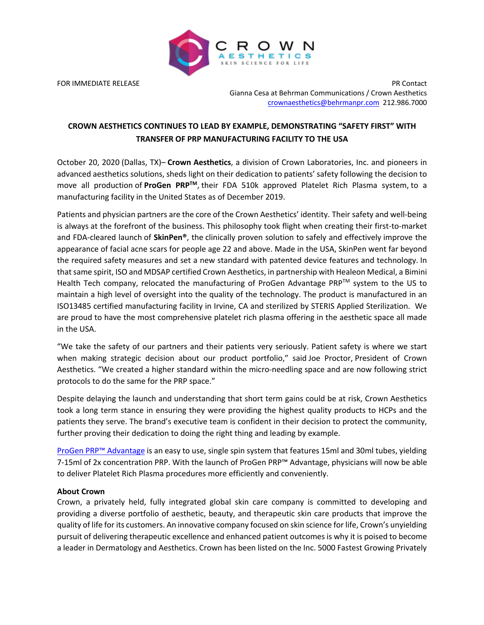

FOR IMMEDIATE RELEASE PR Contact Gianna Cesa at Behrman Communications / Crown Aesthetics crownaesthetics@behrmanpr.com 212.986.7000

# **CROWN AESTHETICS CONTINUES TO LEAD BY EXAMPLE, DEMONSTRATING "SAFETY FIRST" WITH TRANSFER OF PRP MANUFACTURING FACILITY TO THE USA**

October 20, 2020 (Dallas, TX)– **Crown Aesthetics**, a division of Crown Laboratories, Inc. and pioneers in advanced aesthetics solutions, sheds light on their dedication to patients' safety following the decision to move all production of **ProGen PRPTM**, their FDA 510k approved Platelet Rich Plasma system, to a manufacturing facility in the United States as of December 2019.

Patients and physician partners are the core of the Crown Aesthetics' identity. Their safety and well-being is always at the forefront of the business. This philosophy took flight when creating their first-to-market and FDA-cleared launch of **SkinPen®**, the clinically proven solution to safely and effectively improve the appearance of facial acne scars for people age 22 and above. Made in the USA, SkinPen went far beyond the required safety measures and set a new standard with patented device features and technology. In that same spirit, ISO and MDSAP certified Crown Aesthetics, in partnership with Healeon Medical, a Bimini Health Tech company, relocated the manufacturing of ProGen Advantage  $PRP^{TM}$  system to the US to maintain a high level of oversight into the quality of the technology. The product is manufactured in an ISO13485 certified manufacturing facility in Irvine, CA and sterilized by STERIS Applied Sterilization. We are proud to have the most comprehensive platelet rich plasma offering in the aesthetic space all made in the USA.

"We take the safety of our partners and their patients very seriously. Patient safety is where we start when making strategic decision about our product portfolio," said Joe Proctor, President of Crown Aesthetics. "We created a higher standard within the micro-needling space and are now following strict protocols to do the same for the PRP space."

Despite delaying the launch and understanding that short term gains could be at risk, Crown Aesthetics took a long term stance in ensuring they were providing the highest quality products to HCPs and the patients they serve. The brand's executive team is confident in their decision to protect the community, further proving their dedication to doing the right thing and leading by example.

ProGen PRP™ Advantage is an easy to use, single spin system that features 15ml and 30ml tubes, yielding 7-15ml of 2x concentration PRP. With the launch of ProGen PRP™ Advantage, physicians will now be able to deliver Platelet Rich Plasma procedures more efficiently and conveniently.

# **About Crown**

Crown, a privately held, fully integrated global skin care company is committed to developing and providing a diverse portfolio of aesthetic, beauty, and therapeutic skin care products that improve the quality of life for its customers. An innovative company focused on skin science for life, Crown's unyielding pursuit of delivering therapeutic excellence and enhanced patient outcomes is why it is poised to become a leader in Dermatology and Aesthetics. Crown has been listed on the Inc. 5000 Fastest Growing Privately